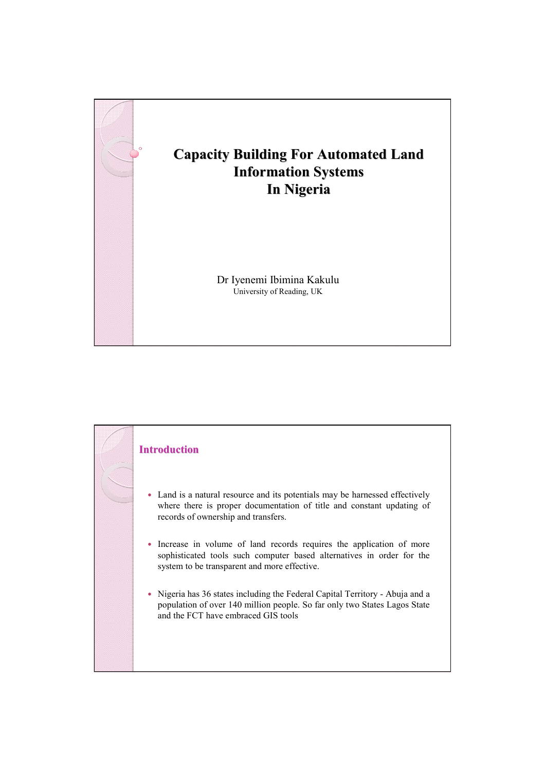

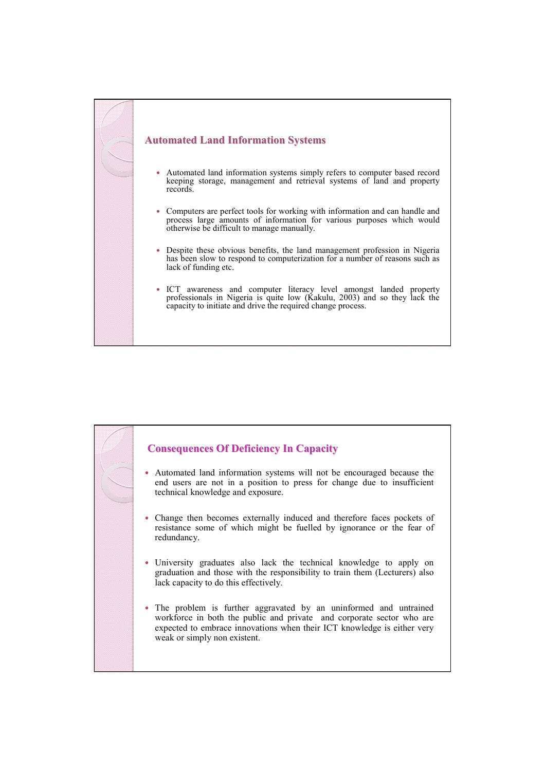

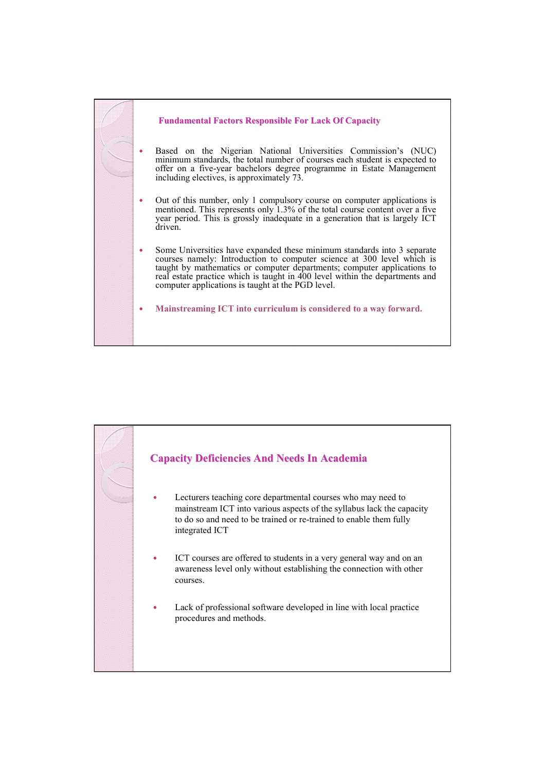

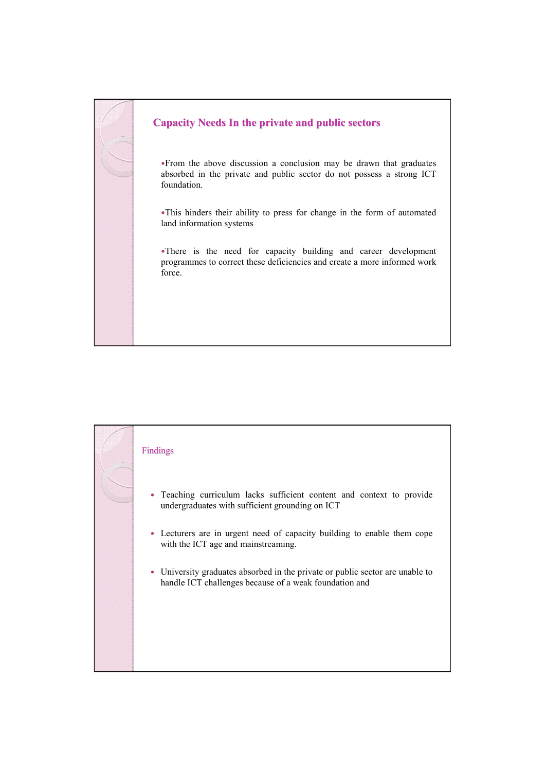